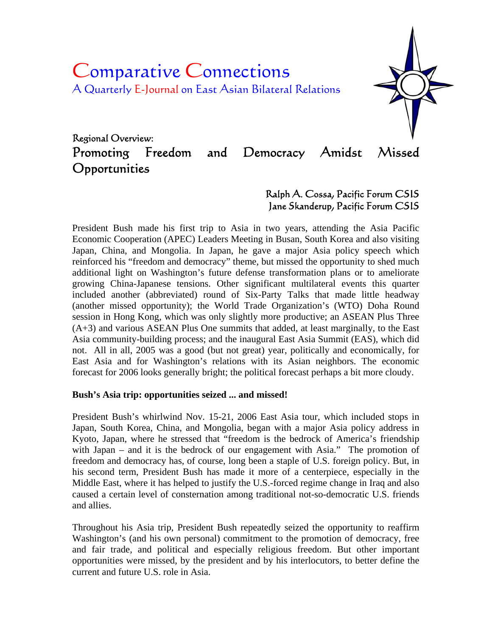# Comparative Connections A Quarterly E-Journal on East Asian Bilateral Relations



# Regional Overview: Promoting Freedom and Democracy Amidst Missed **Opportunities**

## Ralph A. Cossa, Pacific Forum CSIS Jane Skanderup, Pacific Forum CSIS

President Bush made his first trip to Asia in two years, attending the Asia Pacific Economic Cooperation (APEC) Leaders Meeting in Busan, South Korea and also visiting Japan, China, and Mongolia. In Japan, he gave a major Asia policy speech which reinforced his "freedom and democracy" theme, but missed the opportunity to shed much additional light on Washington's future defense transformation plans or to ameliorate growing China-Japanese tensions. Other significant multilateral events this quarter included another (abbreviated) round of Six-Party Talks that made little headway (another missed opportunity); the World Trade Organization's (WTO) Doha Round session in Hong Kong, which was only slightly more productive; an ASEAN Plus Three (A+3) and various ASEAN Plus One summits that added, at least marginally, to the East Asia community-building process; and the inaugural East Asia Summit (EAS), which did not. All in all, 2005 was a good (but not great) year, politically and economically, for East Asia and for Washington's relations with its Asian neighbors. The economic forecast for 2006 looks generally bright; the political forecast perhaps a bit more cloudy.

#### **Bush's Asia trip: opportunities seized ... and missed!**

President Bush's whirlwind Nov. 15-21, 2006 East Asia tour, which included stops in Japan, South Korea, China, and Mongolia, began with a major Asia policy address in Kyoto, Japan, where he stressed that "freedom is the bedrock of America's friendship with Japan – and it is the bedrock of our engagement with Asia." The promotion of freedom and democracy has, of course, long been a staple of U.S. foreign policy. But, in his second term, President Bush has made it more of a centerpiece, especially in the Middle East, where it has helped to justify the U.S.-forced regime change in Iraq and also caused a certain level of consternation among traditional not-so-democratic U.S. friends and allies.

Throughout his Asia trip, President Bush repeatedly seized the opportunity to reaffirm Washington's (and his own personal) commitment to the promotion of democracy, free and fair trade, and political and especially religious freedom. But other important opportunities were missed, by the president and by his interlocutors, to better define the current and future U.S. role in Asia.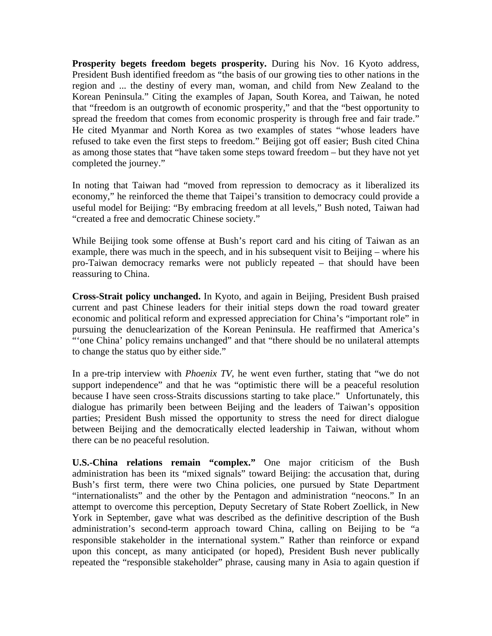**Prosperity begets freedom begets prosperity.** During his Nov. 16 Kyoto address, President Bush identified freedom as "the basis of our growing ties to other nations in the region and ... the destiny of every man, woman, and child from New Zealand to the Korean Peninsula." Citing the examples of Japan, South Korea, and Taiwan, he noted that "freedom is an outgrowth of economic prosperity," and that the "best opportunity to spread the freedom that comes from economic prosperity is through free and fair trade." He cited Myanmar and North Korea as two examples of states "whose leaders have refused to take even the first steps to freedom." Beijing got off easier; Bush cited China as among those states that "have taken some steps toward freedom – but they have not yet completed the journey."

In noting that Taiwan had "moved from repression to democracy as it liberalized its economy," he reinforced the theme that Taipei's transition to democracy could provide a useful model for Beijing: "By embracing freedom at all levels," Bush noted, Taiwan had "created a free and democratic Chinese society."

While Beijing took some offense at Bush's report card and his citing of Taiwan as an example, there was much in the speech, and in his subsequent visit to Beijing – where his pro-Taiwan democracy remarks were not publicly repeated – that should have been reassuring to China.

**Cross-Strait policy unchanged.** In Kyoto, and again in Beijing, President Bush praised current and past Chinese leaders for their initial steps down the road toward greater economic and political reform and expressed appreciation for China's "important role" in pursuing the denuclearization of the Korean Peninsula. He reaffirmed that America's "'one China' policy remains unchanged" and that "there should be no unilateral attempts to change the status quo by either side."

In a pre-trip interview with *Phoenix TV*, he went even further, stating that "we do not support independence" and that he was "optimistic there will be a peaceful resolution because I have seen cross-Straits discussions starting to take place." Unfortunately, this dialogue has primarily been between Beijing and the leaders of Taiwan's opposition parties; President Bush missed the opportunity to stress the need for direct dialogue between Beijing and the democratically elected leadership in Taiwan, without whom there can be no peaceful resolution.

**U.S.-China relations remain "complex."** One major criticism of the Bush administration has been its "mixed signals" toward Beijing: the accusation that, during Bush's first term, there were two China policies, one pursued by State Department "internationalists" and the other by the Pentagon and administration "neocons." In an attempt to overcome this perception, Deputy Secretary of State Robert Zoellick, in New York in September, gave what was described as the definitive description of the Bush administration's second-term approach toward China, calling on Beijing to be "a responsible stakeholder in the international system." Rather than reinforce or expand upon this concept, as many anticipated (or hoped), President Bush never publically repeated the "responsible stakeholder" phrase, causing many in Asia to again question if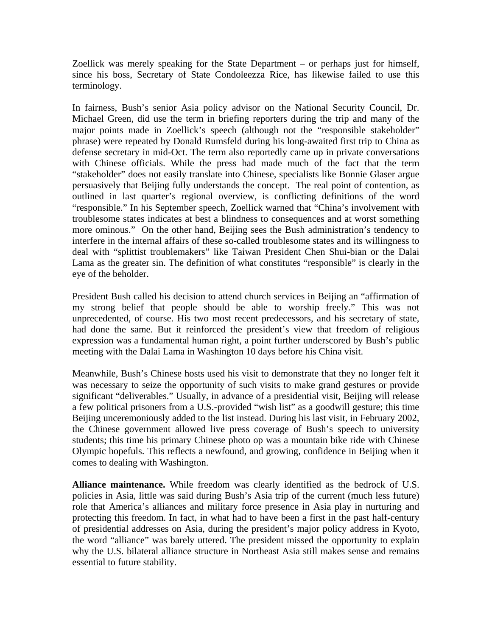Zoellick was merely speaking for the State Department – or perhaps just for himself, since his boss, Secretary of State Condoleezza Rice, has likewise failed to use this terminology.

In fairness, Bush's senior Asia policy advisor on the National Security Council, Dr. Michael Green, did use the term in briefing reporters during the trip and many of the major points made in Zoellick's speech (although not the "responsible stakeholder" phrase) were repeated by Donald Rumsfeld during his long-awaited first trip to China as defense secretary in mid-Oct. The term also reportedly came up in private conversations with Chinese officials. While the press had made much of the fact that the term "stakeholder" does not easily translate into Chinese, specialists like Bonnie Glaser argue persuasively that Beijing fully understands the concept. The real point of contention, as outlined in last quarter's regional overview, is conflicting definitions of the word "responsible." In his September speech, Zoellick warned that "China's involvement with troublesome states indicates at best a blindness to consequences and at worst something more ominous." On the other hand, Beijing sees the Bush administration's tendency to interfere in the internal affairs of these so-called troublesome states and its willingness to deal with "splittist troublemakers" like Taiwan President Chen Shui-bian or the Dalai Lama as the greater sin. The definition of what constitutes "responsible" is clearly in the eye of the beholder.

President Bush called his decision to attend church services in Beijing an "affirmation of my strong belief that people should be able to worship freely." This was not unprecedented, of course. His two most recent predecessors, and his secretary of state, had done the same. But it reinforced the president's view that freedom of religious expression was a fundamental human right, a point further underscored by Bush's public meeting with the Dalai Lama in Washington 10 days before his China visit.

Meanwhile, Bush's Chinese hosts used his visit to demonstrate that they no longer felt it was necessary to seize the opportunity of such visits to make grand gestures or provide significant "deliverables." Usually, in advance of a presidential visit, Beijing will release a few political prisoners from a U.S.-provided "wish list" as a goodwill gesture; this time Beijing unceremoniously added to the list instead. During his last visit, in February 2002, the Chinese government allowed live press coverage of Bush's speech to university students; this time his primary Chinese photo op was a mountain bike ride with Chinese Olympic hopefuls. This reflects a newfound, and growing, confidence in Beijing when it comes to dealing with Washington.

**Alliance maintenance.** While freedom was clearly identified as the bedrock of U.S. policies in Asia, little was said during Bush's Asia trip of the current (much less future) role that America's alliances and military force presence in Asia play in nurturing and protecting this freedom. In fact, in what had to have been a first in the past half-century of presidential addresses on Asia, during the president's major policy address in Kyoto, the word "alliance" was barely uttered. The president missed the opportunity to explain why the U.S. bilateral alliance structure in Northeast Asia still makes sense and remains essential to future stability.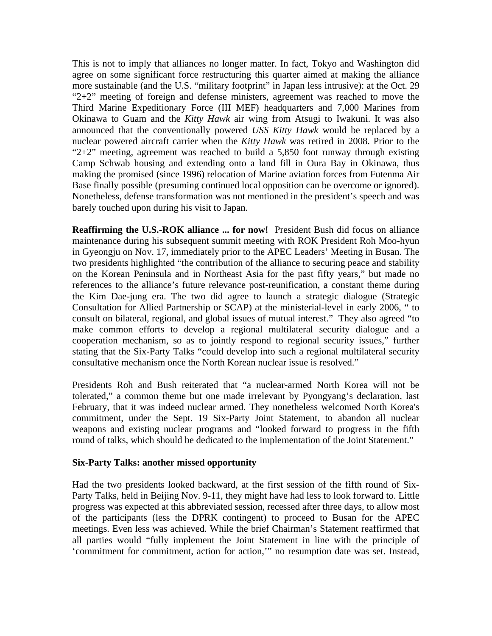This is not to imply that alliances no longer matter. In fact, Tokyo and Washington did agree on some significant force restructuring this quarter aimed at making the alliance more sustainable (and the U.S. "military footprint" in Japan less intrusive): at the Oct. 29 " $2+2$ " meeting of foreign and defense ministers, agreement was reached to move the Third Marine Expeditionary Force (III MEF) headquarters and 7,000 Marines from Okinawa to Guam and the *Kitty Hawk* air wing from Atsugi to Iwakuni. It was also announced that the conventionally powered *USS Kitty Hawk* would be replaced by a nuclear powered aircraft carrier when the *Kitty Hawk* was retired in 2008. Prior to the " $2+2$ " meeting, agreement was reached to build a 5,850 foot runway through existing Camp Schwab housing and extending onto a land fill in Oura Bay in Okinawa, thus making the promised (since 1996) relocation of Marine aviation forces from Futenma Air Base finally possible (presuming continued local opposition can be overcome or ignored). Nonetheless, defense transformation was not mentioned in the president's speech and was barely touched upon during his visit to Japan.

**Reaffirming the U.S.-ROK alliance ... for now!** President Bush did focus on alliance maintenance during his subsequent summit meeting with ROK President Roh Moo-hyun in Gyeongju on Nov. 17, immediately prior to the APEC Leaders' Meeting in Busan. The two presidents highlighted "the contribution of the alliance to securing peace and stability on the Korean Peninsula and in Northeast Asia for the past fifty years," but made no references to the alliance's future relevance post-reunification, a constant theme during the Kim Dae-jung era. The two did agree to launch a strategic dialogue (Strategic Consultation for Allied Partnership or SCAP) at the ministerial-level in early 2006, " to consult on bilateral, regional, and global issues of mutual interest." They also agreed "to make common efforts to develop a regional multilateral security dialogue and a cooperation mechanism, so as to jointly respond to regional security issues," further stating that the Six-Party Talks "could develop into such a regional multilateral security consultative mechanism once the North Korean nuclear issue is resolved."

Presidents Roh and Bush reiterated that "a nuclear-armed North Korea will not be tolerated," a common theme but one made irrelevant by Pyongyang's declaration, last February, that it was indeed nuclear armed. They nonetheless welcomed North Korea's commitment, under the Sept. 19 Six-Party Joint Statement, to abandon all nuclear weapons and existing nuclear programs and "looked forward to progress in the fifth round of talks, which should be dedicated to the implementation of the Joint Statement."

#### **Six-Party Talks: another missed opportunity**

Had the two presidents looked backward, at the first session of the fifth round of Six-Party Talks, held in Beijing Nov. 9-11, they might have had less to look forward to. Little progress was expected at this abbreviated session, recessed after three days, to allow most of the participants (less the DPRK contingent) to proceed to Busan for the APEC meetings. Even less was achieved. While the brief Chairman's Statement reaffirmed that all parties would "fully implement the Joint Statement in line with the principle of 'commitment for commitment, action for action,'" no resumption date was set. Instead,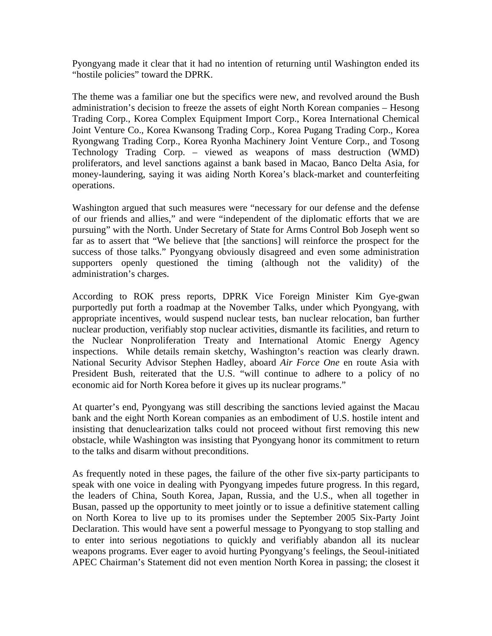Pyongyang made it clear that it had no intention of returning until Washington ended its "hostile policies" toward the DPRK.

The theme was a familiar one but the specifics were new, and revolved around the Bush administration's decision to freeze the assets of eight North Korean companies – Hesong Trading Corp., Korea Complex Equipment Import Corp., Korea International Chemical Joint Venture Co., Korea Kwansong Trading Corp., Korea Pugang Trading Corp., Korea Ryongwang Trading Corp., Korea Ryonha Machinery Joint Venture Corp., and Tosong Technology Trading Corp. – viewed as weapons of mass destruction (WMD) proliferators, and level sanctions against a bank based in Macao, Banco Delta Asia, for money-laundering, saying it was aiding North Korea's black-market and counterfeiting operations.

Washington argued that such measures were "necessary for our defense and the defense of our friends and allies," and were "independent of the diplomatic efforts that we are pursuing" with the North. Under Secretary of State for Arms Control Bob Joseph went so far as to assert that "We believe that [the sanctions] will reinforce the prospect for the success of those talks." Pyongyang obviously disagreed and even some administration supporters openly questioned the timing (although not the validity) of the administration's charges.

According to ROK press reports, DPRK Vice Foreign Minister Kim Gye-gwan purportedly put forth a roadmap at the November Talks, under which Pyongyang, with appropriate incentives, would suspend nuclear tests, ban nuclear relocation, ban further nuclear production, verifiably stop nuclear activities, dismantle its facilities, and return to the Nuclear Nonproliferation Treaty and International Atomic Energy Agency inspections. While details remain sketchy, Washington's reaction was clearly drawn. National Security Advisor Stephen Hadley, aboard *Air Force One* en route Asia with President Bush, reiterated that the U.S. "will continue to adhere to a policy of no economic aid for North Korea before it gives up its nuclear programs."

At quarter's end, Pyongyang was still describing the sanctions levied against the Macau bank and the eight North Korean companies as an embodiment of U.S. hostile intent and insisting that denuclearization talks could not proceed without first removing this new obstacle, while Washington was insisting that Pyongyang honor its commitment to return to the talks and disarm without preconditions.

As frequently noted in these pages, the failure of the other five six-party participants to speak with one voice in dealing with Pyongyang impedes future progress. In this regard, the leaders of China, South Korea, Japan, Russia, and the U.S., when all together in Busan, passed up the opportunity to meet jointly or to issue a definitive statement calling on North Korea to live up to its promises under the September 2005 Six-Party Joint Declaration. This would have sent a powerful message to Pyongyang to stop stalling and to enter into serious negotiations to quickly and verifiably abandon all its nuclear weapons programs. Ever eager to avoid hurting Pyongyang's feelings, the Seoul-initiated APEC Chairman's Statement did not even mention North Korea in passing; the closest it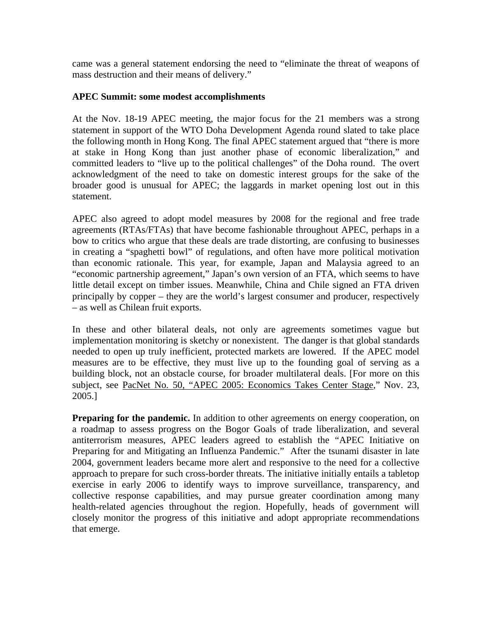came was a general statement endorsing the need to "eliminate the threat of weapons of mass destruction and their means of delivery."

#### **APEC Summit: some modest accomplishments**

At the Nov. 18-19 APEC meeting, the major focus for the 21 members was a strong statement in support of the WTO Doha Development Agenda round slated to take place the following month in Hong Kong. The final APEC statement argued that "there is more at stake in Hong Kong than just another phase of economic liberalization," and committed leaders to "live up to the political challenges" of the Doha round. The overt acknowledgment of the need to take on domestic interest groups for the sake of the broader good is unusual for APEC; the laggards in market opening lost out in this statement.

APEC also agreed to adopt model measures by 2008 for the regional and free trade agreements (RTAs/FTAs) that have become fashionable throughout APEC, perhaps in a bow to critics who argue that these deals are trade distorting, are confusing to businesses in creating a "spaghetti bowl" of regulations, and often have more political motivation than economic rationale. This year, for example, Japan and Malaysia agreed to an "economic partnership agreement," Japan's own version of an FTA, which seems to have little detail except on timber issues. Meanwhile, China and Chile signed an FTA driven principally by copper – they are the world's largest consumer and producer, respectively – as well as Chilean fruit exports.

In these and other bilateral deals, not only are agreements sometimes vague but implementation monitoring is sketchy or nonexistent. The danger is that global standards needed to open up truly inefficient, protected markets are lowered. If the APEC model measures are to be effective, they must live up to the founding goal of serving as a building block, not an obstacle course, for broader multilateral deals. [For more on this subject, see PacNet No. 50, "APEC 2005: Economics Takes Center Stage," Nov. 23, 2005.]

**Preparing for the pandemic.** In addition to other agreements on energy cooperation, on a roadmap to assess progress on the Bogor Goals of trade liberalization, and several antiterrorism measures, APEC leaders agreed to establish the "APEC Initiative on Preparing for and Mitigating an Influenza Pandemic." After the tsunami disaster in late 2004, government leaders became more alert and responsive to the need for a collective approach to prepare for such cross-border threats. The initiative initially entails a tabletop exercise in early 2006 to identify ways to improve surveillance, transparency, and collective response capabilities, and may pursue greater coordination among many health-related agencies throughout the region. Hopefully, heads of government will closely monitor the progress of this initiative and adopt appropriate recommendations that emerge.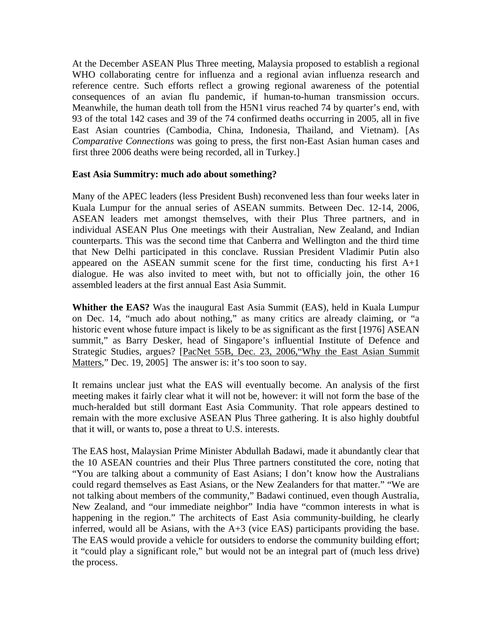At the December ASEAN Plus Three meeting, Malaysia proposed to establish a regional WHO collaborating centre for influenza and a regional avian influenza research and reference centre. Such efforts reflect a growing regional awareness of the potential consequences of an avian flu pandemic, if human-to-human transmission occurs. Meanwhile, the human death toll from the H5N1 virus reached 74 by quarter's end, with 93 of the total 142 cases and 39 of the 74 confirmed deaths occurring in 2005, all in five East Asian countries (Cambodia, China, Indonesia, Thailand, and Vietnam). [As *Comparative Connections* was going to press, the first non-East Asian human cases and first three 2006 deaths were being recorded, all in Turkey.]

#### **East Asia Summitry: much ado about something?**

Many of the APEC leaders (less President Bush) reconvened less than four weeks later in Kuala Lumpur for the annual series of ASEAN summits. Between Dec. 12-14, 2006, ASEAN leaders met amongst themselves, with their Plus Three partners, and in individual ASEAN Plus One meetings with their Australian, New Zealand, and Indian counterparts. This was the second time that Canberra and Wellington and the third time that New Delhi participated in this conclave. Russian President Vladimir Putin also appeared on the ASEAN summit scene for the first time, conducting his first A+1 dialogue. He was also invited to meet with, but not to officially join, the other 16 assembled leaders at the first annual East Asia Summit.

**Whither the EAS?** Was the inaugural East Asia Summit (EAS), held in Kuala Lumpur on Dec. 14, "much ado about nothing," as many critics are already claiming, or "a historic event whose future impact is likely to be as significant as the first [1976] ASEAN summit," as Barry Desker, head of Singapore's influential Institute of Defence and Strategic Studies, argues? [PacNet 55B, Dec. 23, 2006,"Why the East Asian Summit Matters," Dec. 19, 2005] The answer is: it's too soon to say.

It remains unclear just what the EAS will eventually become. An analysis of the first meeting makes it fairly clear what it will not be, however: it will not form the base of the much-heralded but still dormant East Asia Community. That role appears destined to remain with the more exclusive ASEAN Plus Three gathering. It is also highly doubtful that it will, or wants to, pose a threat to U.S. interests.

The EAS host, Malaysian Prime Minister Abdullah Badawi, made it abundantly clear that the 10 ASEAN countries and their Plus Three partners constituted the core, noting that "You are talking about a community of East Asians; I don't know how the Australians could regard themselves as East Asians, or the New Zealanders for that matter." "We are not talking about members of the community," Badawi continued, even though Australia, New Zealand, and "our immediate neighbor" India have "common interests in what is happening in the region." The architects of East Asia community-building, he clearly inferred, would all be Asians, with the A+3 (vice EAS) participants providing the base. The EAS would provide a vehicle for outsiders to endorse the community building effort; it "could play a significant role," but would not be an integral part of (much less drive) the process.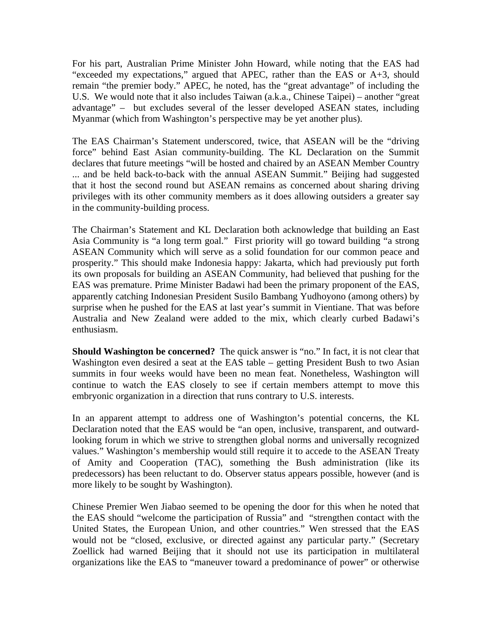For his part, Australian Prime Minister John Howard, while noting that the EAS had "exceeded my expectations," argued that APEC, rather than the EAS or A+3, should remain "the premier body." APEC, he noted, has the "great advantage" of including the U.S. We would note that it also includes Taiwan (a.k.a., Chinese Taipei) – another "great advantage" – but excludes several of the lesser developed ASEAN states, including Myanmar (which from Washington's perspective may be yet another plus).

The EAS Chairman's Statement underscored, twice, that ASEAN will be the "driving force" behind East Asian community-building. The KL Declaration on the Summit declares that future meetings "will be hosted and chaired by an ASEAN Member Country ... and be held back-to-back with the annual ASEAN Summit." Beijing had suggested that it host the second round but ASEAN remains as concerned about sharing driving privileges with its other community members as it does allowing outsiders a greater say in the community-building process.

The Chairman's Statement and KL Declaration both acknowledge that building an East Asia Community is "a long term goal." First priority will go toward building "a strong ASEAN Community which will serve as a solid foundation for our common peace and prosperity." This should make Indonesia happy: Jakarta, which had previously put forth its own proposals for building an ASEAN Community, had believed that pushing for the EAS was premature. Prime Minister Badawi had been the primary proponent of the EAS, apparently catching Indonesian President Susilo Bambang Yudhoyono (among others) by surprise when he pushed for the EAS at last year's summit in Vientiane. That was before Australia and New Zealand were added to the mix, which clearly curbed Badawi's enthusiasm.

**Should Washington be concerned?** The quick answer is "no." In fact, it is not clear that Washington even desired a seat at the EAS table – getting President Bush to two Asian summits in four weeks would have been no mean feat. Nonetheless, Washington will continue to watch the EAS closely to see if certain members attempt to move this embryonic organization in a direction that runs contrary to U.S. interests.

In an apparent attempt to address one of Washington's potential concerns, the KL Declaration noted that the EAS would be "an open, inclusive, transparent, and outwardlooking forum in which we strive to strengthen global norms and universally recognized values." Washington's membership would still require it to accede to the ASEAN Treaty of Amity and Cooperation (TAC), something the Bush administration (like its predecessors) has been reluctant to do. Observer status appears possible, however (and is more likely to be sought by Washington).

Chinese Premier Wen Jiabao seemed to be opening the door for this when he noted that the EAS should "welcome the participation of Russia" and "strengthen contact with the United States, the European Union, and other countries." Wen stressed that the EAS would not be "closed, exclusive, or directed against any particular party." (Secretary Zoellick had warned Beijing that it should not use its participation in multilateral organizations like the EAS to "maneuver toward a predominance of power" or otherwise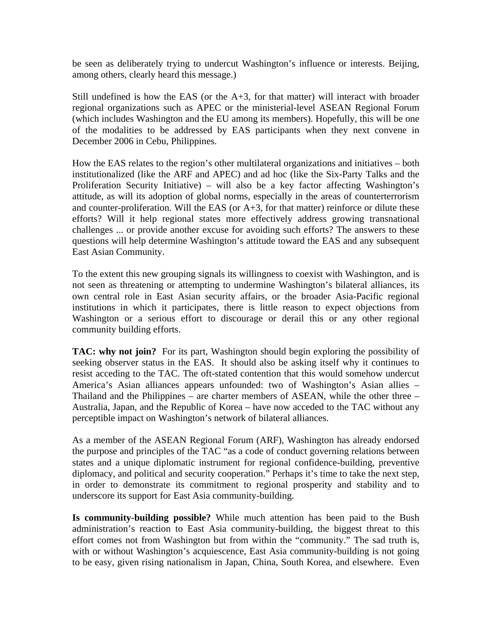be seen as deliberately trying to undercut Washington's influence or interests. Beijing, among others, clearly heard this message.)

Still undefined is how the EAS (or the  $A+3$ , for that matter) will interact with broader regional organizations such as APEC or the ministerial-level ASEAN Regional Forum (which includes Washington and the EU among its members). Hopefully, this will be one of the modalities to be addressed by EAS participants when they next convene in December 2006 in Cebu, Philippines.

How the EAS relates to the region's other multilateral organizations and initiatives – both institutionalized (like the ARF and APEC) and ad hoc (like the Six-Party Talks and the Proliferation Security Initiative) – will also be a key factor affecting Washington's attitude, as will its adoption of global norms, especially in the areas of counterterrorism and counter-proliferation. Will the EAS (or  $A+3$ , for that matter) reinforce or dilute these efforts? Will it help regional states more effectively address growing transnational challenges ... or provide another excuse for avoiding such efforts? The answers to these questions will help determine Washington's attitude toward the EAS and any subsequent East Asian Community.

To the extent this new grouping signals its willingness to coexist with Washington, and is not seen as threatening or attempting to undermine Washington's bilateral alliances, its own central role in East Asian security affairs, or the broader Asia-Pacific regional institutions in which it participates, there is little reason to expect objections from Washington or a serious effort to discourage or derail this or any other regional community building efforts.

**TAC: why not join?** For its part, Washington should begin exploring the possibility of seeking observer status in the EAS. It should also be asking itself why it continues to resist acceding to the TAC. The oft-stated contention that this would somehow undercut America's Asian alliances appears unfounded: two of Washington's Asian allies – Thailand and the Philippines – are charter members of ASEAN, while the other three – Australia, Japan, and the Republic of Korea – have now acceded to the TAC without any perceptible impact on Washington's network of bilateral alliances.

As a member of the ASEAN Regional Forum (ARF), Washington has already endorsed the purpose and principles of the TAC "as a code of conduct governing relations between states and a unique diplomatic instrument for regional confidence-building, preventive diplomacy, and political and security cooperation." Perhaps it's time to take the next step, in order to demonstrate its commitment to regional prosperity and stability and to underscore its support for East Asia community-building.

**Is community-building possible?** While much attention has been paid to the Bush administration's reaction to East Asia community-building, the biggest threat to this effort comes not from Washington but from within the "community." The sad truth is, with or without Washington's acquiescence, East Asia community-building is not going to be easy, given rising nationalism in Japan, China, South Korea, and elsewhere. Even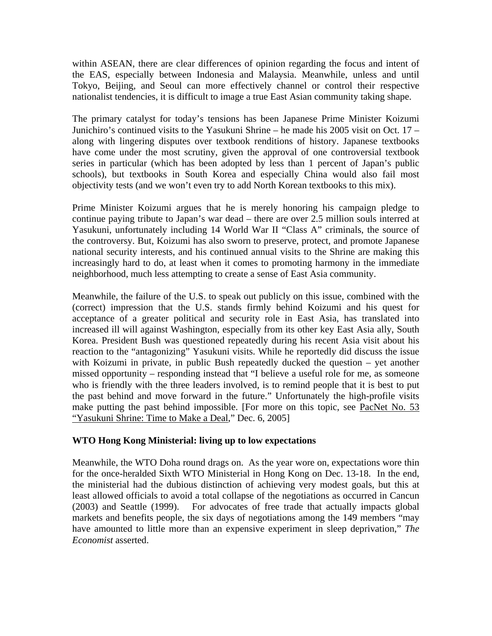within ASEAN, there are clear differences of opinion regarding the focus and intent of the EAS, especially between Indonesia and Malaysia. Meanwhile, unless and until Tokyo, Beijing, and Seoul can more effectively channel or control their respective nationalist tendencies, it is difficult to image a true East Asian community taking shape.

The primary catalyst for today's tensions has been Japanese Prime Minister Koizumi Junichiro's continued visits to the Yasukuni Shrine – he made his 2005 visit on Oct. 17 – along with lingering disputes over textbook renditions of history. Japanese textbooks have come under the most scrutiny, given the approval of one controversial textbook series in particular (which has been adopted by less than 1 percent of Japan's public schools), but textbooks in South Korea and especially China would also fail most objectivity tests (and we won't even try to add North Korean textbooks to this mix).

Prime Minister Koizumi argues that he is merely honoring his campaign pledge to continue paying tribute to Japan's war dead – there are over 2.5 million souls interred at Yasukuni, unfortunately including 14 World War II "Class A" criminals, the source of the controversy. But, Koizumi has also sworn to preserve, protect, and promote Japanese national security interests, and his continued annual visits to the Shrine are making this increasingly hard to do, at least when it comes to promoting harmony in the immediate neighborhood, much less attempting to create a sense of East Asia community.

Meanwhile, the failure of the U.S. to speak out publicly on this issue, combined with the (correct) impression that the U.S. stands firmly behind Koizumi and his quest for acceptance of a greater political and security role in East Asia, has translated into increased ill will against Washington, especially from its other key East Asia ally, South Korea. President Bush was questioned repeatedly during his recent Asia visit about his reaction to the "antagonizing" Yasukuni visits. While he reportedly did discuss the issue with Koizumi in private, in public Bush repeatedly ducked the question – yet another missed opportunity – responding instead that "I believe a useful role for me, as someone who is friendly with the three leaders involved, is to remind people that it is best to put the past behind and move forward in the future." Unfortunately the high-profile visits make putting the past behind impossible. [For more on this topic, see PacNet No. 53 "Yasukuni Shrine: Time to Make a Deal," Dec. 6, 2005]

#### **WTO Hong Kong Ministerial: living up to low expectations**

Meanwhile, the WTO Doha round drags on. As the year wore on, expectations wore thin for the once-heralded Sixth WTO Ministerial in Hong Kong on Dec. 13-18. In the end, the ministerial had the dubious distinction of achieving very modest goals, but this at least allowed officials to avoid a total collapse of the negotiations as occurred in Cancun (2003) and Seattle (1999). For advocates of free trade that actually impacts global markets and benefits people, the six days of negotiations among the 149 members "may have amounted to little more than an expensive experiment in sleep deprivation," *The Economist* asserted.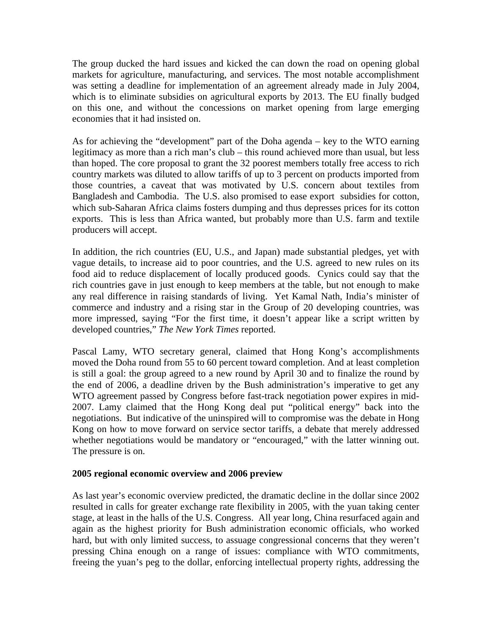The group ducked the hard issues and kicked the can down the road on opening global markets for agriculture, manufacturing, and services. The most notable accomplishment was setting a deadline for implementation of an agreement already made in July 2004, which is to eliminate subsidies on agricultural exports by 2013. The EU finally budged on this one, and without the concessions on market opening from large emerging economies that it had insisted on.

As for achieving the "development" part of the Doha agenda – key to the WTO earning legitimacy as more than a rich man's club – this round achieved more than usual, but less than hoped. The core proposal to grant the 32 poorest members totally free access to rich country markets was diluted to allow tariffs of up to 3 percent on products imported from those countries, a caveat that was motivated by U.S. concern about textiles from Bangladesh and Cambodia. The U.S. also promised to ease export subsidies for cotton, which sub-Saharan Africa claims fosters dumping and thus depresses prices for its cotton exports. This is less than Africa wanted, but probably more than U.S. farm and textile producers will accept.

In addition, the rich countries (EU, U.S., and Japan) made substantial pledges, yet with vague details, to increase aid to poor countries, and the U.S. agreed to new rules on its food aid to reduce displacement of locally produced goods. Cynics could say that the rich countries gave in just enough to keep members at the table, but not enough to make any real difference in raising standards of living. Yet Kamal Nath, India's minister of commerce and industry and a rising star in the Group of 20 developing countries, was more impressed, saying "For the first time, it doesn't appear like a script written by developed countries," *The New York Times* reported.

Pascal Lamy, WTO secretary general, claimed that Hong Kong's accomplishments moved the Doha round from 55 to 60 percent toward completion. And at least completion is still a goal: the group agreed to a new round by April 30 and to finalize the round by the end of 2006, a deadline driven by the Bush administration's imperative to get any WTO agreement passed by Congress before fast-track negotiation power expires in mid-2007. Lamy claimed that the Hong Kong deal put "political energy" back into the negotiations. But indicative of the uninspired will to compromise was the debate in Hong Kong on how to move forward on service sector tariffs, a debate that merely addressed whether negotiations would be mandatory or "encouraged," with the latter winning out. The pressure is on.

#### **2005 regional economic overview and 2006 preview**

As last year's economic overview predicted, the dramatic decline in the dollar since 2002 resulted in calls for greater exchange rate flexibility in 2005, with the yuan taking center stage, at least in the halls of the U.S. Congress. All year long, China resurfaced again and again as the highest priority for Bush administration economic officials, who worked hard, but with only limited success, to assuage congressional concerns that they weren't pressing China enough on a range of issues: compliance with WTO commitments, freeing the yuan's peg to the dollar, enforcing intellectual property rights, addressing the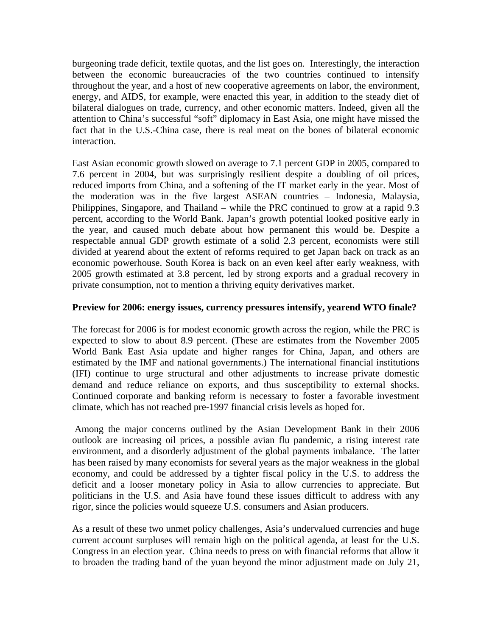burgeoning trade deficit, textile quotas, and the list goes on. Interestingly, the interaction between the economic bureaucracies of the two countries continued to intensify throughout the year, and a host of new cooperative agreements on labor, the environment, energy, and AIDS, for example, were enacted this year, in addition to the steady diet of bilateral dialogues on trade, currency, and other economic matters. Indeed, given all the attention to China's successful "soft" diplomacy in East Asia, one might have missed the fact that in the U.S.-China case, there is real meat on the bones of bilateral economic interaction.

East Asian economic growth slowed on average to 7.1 percent GDP in 2005, compared to 7.6 percent in 2004, but was surprisingly resilient despite a doubling of oil prices, reduced imports from China, and a softening of the IT market early in the year. Most of the moderation was in the five largest ASEAN countries – Indonesia, Malaysia, Philippines, Singapore, and Thailand – while the PRC continued to grow at a rapid 9.3 percent, according to the World Bank. Japan's growth potential looked positive early in the year, and caused much debate about how permanent this would be. Despite a respectable annual GDP growth estimate of a solid 2.3 percent, economists were still divided at yearend about the extent of reforms required to get Japan back on track as an economic powerhouse. South Korea is back on an even keel after early weakness, with 2005 growth estimated at 3.8 percent, led by strong exports and a gradual recovery in private consumption, not to mention a thriving equity derivatives market.

#### **Preview for 2006: energy issues, currency pressures intensify, yearend WTO finale?**

The forecast for 2006 is for modest economic growth across the region, while the PRC is expected to slow to about 8.9 percent. (These are estimates from the November 2005 World Bank East Asia update and higher ranges for China, Japan, and others are estimated by the IMF and national governments.) The international financial institutions (IFI) continue to urge structural and other adjustments to increase private domestic demand and reduce reliance on exports, and thus susceptibility to external shocks. Continued corporate and banking reform is necessary to foster a favorable investment climate, which has not reached pre-1997 financial crisis levels as hoped for.

 Among the major concerns outlined by the Asian Development Bank in their 2006 outlook are increasing oil prices, a possible avian flu pandemic, a rising interest rate environment, and a disorderly adjustment of the global payments imbalance. The latter has been raised by many economists for several years as the major weakness in the global economy, and could be addressed by a tighter fiscal policy in the U.S. to address the deficit and a looser monetary policy in Asia to allow currencies to appreciate. But politicians in the U.S. and Asia have found these issues difficult to address with any rigor, since the policies would squeeze U.S. consumers and Asian producers.

As a result of these two unmet policy challenges, Asia's undervalued currencies and huge current account surpluses will remain high on the political agenda, at least for the U.S. Congress in an election year. China needs to press on with financial reforms that allow it to broaden the trading band of the yuan beyond the minor adjustment made on July 21,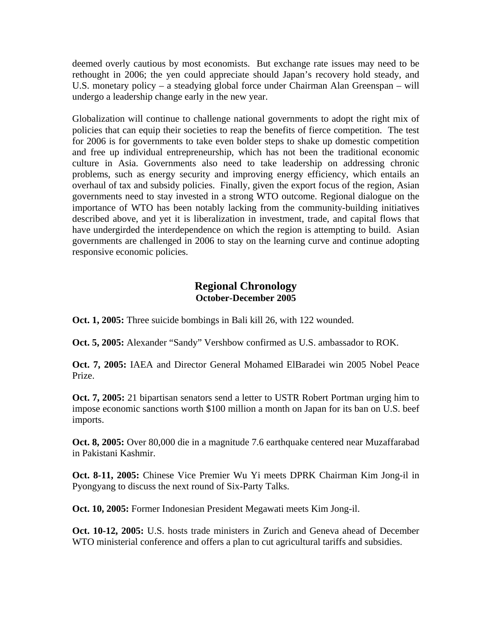deemed overly cautious by most economists. But exchange rate issues may need to be rethought in 2006; the yen could appreciate should Japan's recovery hold steady, and U.S. monetary policy – a steadying global force under Chairman Alan Greenspan – will undergo a leadership change early in the new year.

Globalization will continue to challenge national governments to adopt the right mix of policies that can equip their societies to reap the benefits of fierce competition. The test for 2006 is for governments to take even bolder steps to shake up domestic competition and free up individual entrepreneurship, which has not been the traditional economic culture in Asia. Governments also need to take leadership on addressing chronic problems, such as energy security and improving energy efficiency, which entails an overhaul of tax and subsidy policies. Finally, given the export focus of the region, Asian governments need to stay invested in a strong WTO outcome. Regional dialogue on the importance of WTO has been notably lacking from the community-building initiatives described above, and yet it is liberalization in investment, trade, and capital flows that have undergirded the interdependence on which the region is attempting to build. Asian governments are challenged in 2006 to stay on the learning curve and continue adopting responsive economic policies.

### **Regional Chronology October-December 2005**

**Oct. 1, 2005:** Three suicide bombings in Bali kill 26, with 122 wounded.

**Oct. 5, 2005:** Alexander "Sandy" Vershbow confirmed as U.S. ambassador to ROK.

**Oct. 7, 2005:** IAEA and Director General Mohamed ElBaradei win 2005 Nobel Peace Prize.

**Oct. 7, 2005:** 21 bipartisan senators send a letter to USTR Robert Portman urging him to impose economic sanctions worth \$100 million a month on Japan for its ban on U.S. beef imports.

**Oct. 8, 2005:** Over 80,000 die in a magnitude 7.6 earthquake centered near Muzaffarabad in Pakistani Kashmir.

**Oct. 8-11, 2005:** Chinese Vice Premier Wu Yi meets DPRK Chairman Kim Jong-il in Pyongyang to discuss the next round of Six-Party Talks.

**Oct. 10, 2005:** Former Indonesian President Megawati meets Kim Jong-il.

**Oct. 10-12, 2005:** U.S. hosts trade ministers in Zurich and Geneva ahead of December WTO ministerial conference and offers a plan to cut agricultural tariffs and subsidies.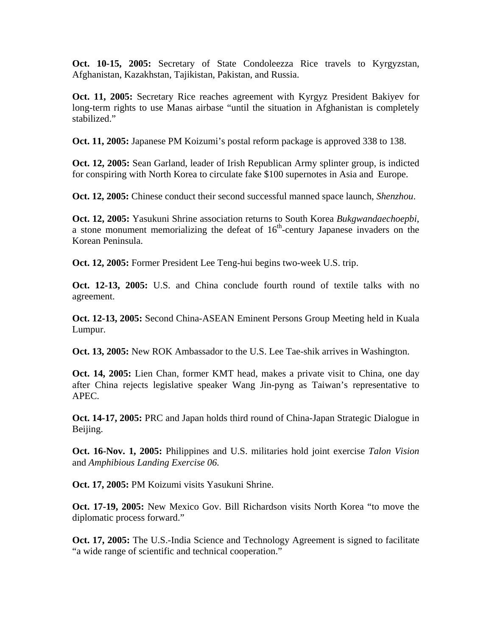**Oct. 10-15, 2005:** Secretary of State Condoleezza Rice travels to Kyrgyzstan, Afghanistan, Kazakhstan, Tajikistan, Pakistan, and Russia.

**Oct. 11, 2005:** Secretary Rice reaches agreement with Kyrgyz President Bakiyev for long-term rights to use Manas airbase "until the situation in Afghanistan is completely stabilized."

**Oct. 11, 2005:** Japanese PM Koizumi's postal reform package is approved 338 to 138.

**Oct. 12, 2005:** Sean Garland, leader of Irish Republican Army splinter group, is indicted for conspiring with North Korea to circulate fake \$100 supernotes in Asia and Europe.

**Oct. 12, 2005:** Chinese conduct their second successful manned space launch, *Shenzhou*.

**Oct. 12, 2005:** Yasukuni Shrine association returns to South Korea *Bukgwandaechoepbi*, a stone monument memorializing the defeat of  $16<sup>th</sup>$ -century Japanese invaders on the Korean Peninsula.

**Oct. 12, 2005:** Former President Lee Teng-hui begins two-week U.S. trip.

**Oct. 12-13, 2005:** U.S. and China conclude fourth round of textile talks with no agreement.

**Oct. 12-13, 2005:** Second China-ASEAN Eminent Persons Group Meeting held in Kuala Lumpur.

**Oct. 13, 2005:** New ROK Ambassador to the U.S. Lee Tae-shik arrives in Washington.

**Oct. 14, 2005:** Lien Chan, former KMT head, makes a private visit to China, one day after China rejects legislative speaker Wang Jin-pyng as Taiwan's representative to APEC.

**Oct. 14-17, 2005:** PRC and Japan holds third round of China-Japan Strategic Dialogue in Beijing.

**Oct. 16-Nov. 1, 2005:** Philippines and U.S. militaries hold joint exercise *Talon Vision*  and *Amphibious Landing Exercise 06*.

**Oct. 17, 2005:** PM Koizumi visits Yasukuni Shrine.

**Oct. 17-19, 2005:** New Mexico Gov. Bill Richardson visits North Korea "to move the diplomatic process forward."

**Oct. 17, 2005:** The U.S.-India Science and Technology Agreement is signed to facilitate "a wide range of scientific and technical cooperation."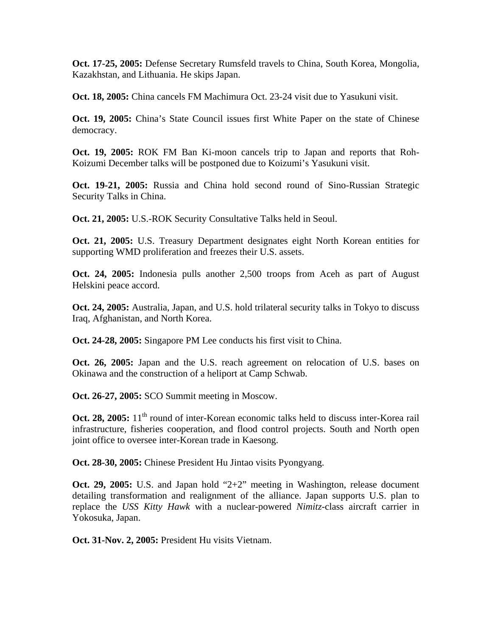**Oct. 17-25, 2005:** Defense Secretary Rumsfeld travels to China, South Korea, Mongolia, Kazakhstan, and Lithuania. He skips Japan.

**Oct. 18, 2005:** China cancels FM Machimura Oct. 23-24 visit due to Yasukuni visit.

**Oct. 19, 2005:** China's State Council issues first White Paper on the state of Chinese democracy.

**Oct. 19, 2005:** ROK FM Ban Ki-moon cancels trip to Japan and reports that Roh-Koizumi December talks will be postponed due to Koizumi's Yasukuni visit.

**Oct. 19-21, 2005:** Russia and China hold second round of Sino-Russian Strategic Security Talks in China.

**Oct. 21, 2005:** U.S.-ROK Security Consultative Talks held in Seoul.

**Oct. 21, 2005:** U.S. Treasury Department designates eight North Korean entities for supporting WMD proliferation and freezes their U.S. assets.

**Oct. 24, 2005:** Indonesia pulls another 2,500 troops from Aceh as part of August Helskini peace accord.

**Oct. 24, 2005:** Australia, Japan, and U.S. hold trilateral security talks in Tokyo to discuss Iraq, Afghanistan, and North Korea.

**Oct. 24-28, 2005:** Singapore PM Lee conducts his first visit to China.

**Oct. 26, 2005:** Japan and the U.S. reach agreement on relocation of U.S. bases on Okinawa and the construction of a heliport at Camp Schwab.

**Oct. 26-27, 2005:** SCO Summit meeting in Moscow.

**Oct. 28, 2005:** 11<sup>th</sup> round of inter-Korean economic talks held to discuss inter-Korea rail infrastructure, fisheries cooperation, and flood control projects. South and North open joint office to oversee inter-Korean trade in Kaesong.

**Oct. 28-30, 2005:** Chinese President Hu Jintao visits Pyongyang.

**Oct. 29, 2005:** U.S. and Japan hold "2+2" meeting in Washington, release document detailing transformation and realignment of the alliance. Japan supports U.S. plan to replace the *USS Kitty Hawk* with a nuclear-powered *Nimitz*-class aircraft carrier in Yokosuka, Japan.

**Oct. 31-Nov. 2, 2005:** President Hu visits Vietnam.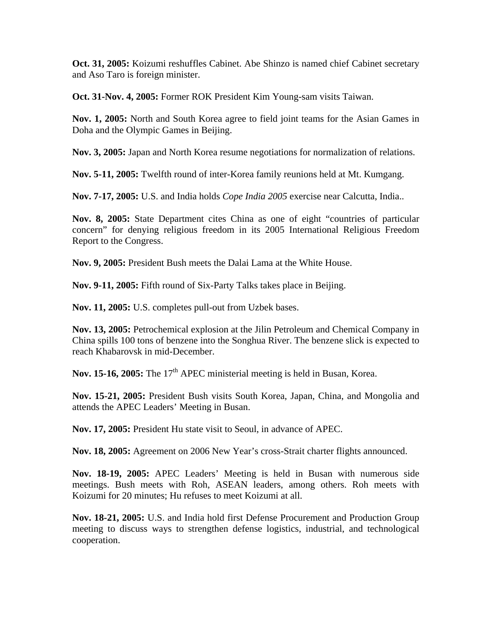**Oct. 31, 2005:** Koizumi reshuffles Cabinet. Abe Shinzo is named chief Cabinet secretary and Aso Taro is foreign minister.

**Oct. 31-Nov. 4, 2005:** Former ROK President Kim Young-sam visits Taiwan.

**Nov. 1, 2005:** North and South Korea agree to field joint teams for the Asian Games in Doha and the Olympic Games in Beijing.

**Nov. 3, 2005:** Japan and North Korea resume negotiations for normalization of relations.

**Nov. 5-11, 2005:** Twelfth round of inter-Korea family reunions held at Mt. Kumgang.

**Nov. 7-17, 2005:** U.S. and India holds *Cope India 2005* exercise near Calcutta, India..

**Nov. 8, 2005:** State Department cites China as one of eight "countries of particular concern" for denying religious freedom in its 2005 International Religious Freedom Report to the Congress.

**Nov. 9, 2005:** President Bush meets the Dalai Lama at the White House.

**Nov. 9-11, 2005:** Fifth round of Six-Party Talks takes place in Beijing.

**Nov. 11, 2005:** U.S. completes pull-out from Uzbek bases.

**Nov. 13, 2005:** Petrochemical explosion at the Jilin Petroleum and Chemical Company in China spills 100 tons of benzene into the Songhua River. The benzene slick is expected to reach Khabarovsk in mid-December.

**Nov. 15-16, 2005:** The 17<sup>th</sup> APEC ministerial meeting is held in Busan, Korea.

**Nov. 15-21, 2005:** President Bush visits South Korea, Japan, China, and Mongolia and attends the APEC Leaders' Meeting in Busan.

**Nov. 17, 2005:** President Hu state visit to Seoul, in advance of APEC.

**Nov. 18, 2005:** Agreement on 2006 New Year's cross-Strait charter flights announced.

**Nov. 18-19, 2005:** APEC Leaders' Meeting is held in Busan with numerous side meetings. Bush meets with Roh, ASEAN leaders, among others. Roh meets with Koizumi for 20 minutes; Hu refuses to meet Koizumi at all.

**Nov. 18-21, 2005:** U.S. and India hold first Defense Procurement and Production Group meeting to discuss ways to strengthen defense logistics, industrial, and technological cooperation.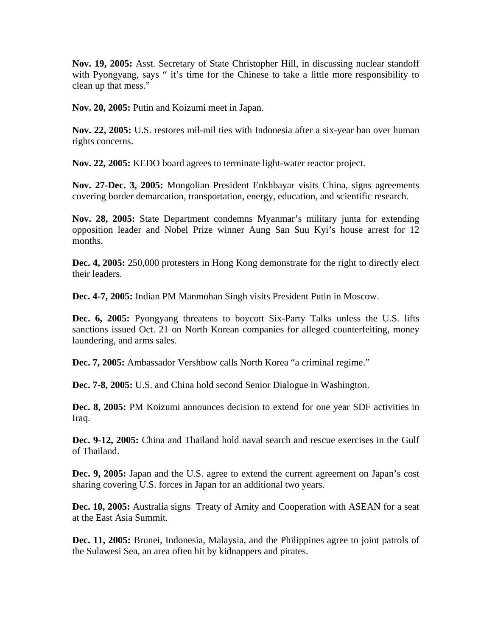**Nov. 19, 2005:** Asst. Secretary of State Christopher Hill, in discussing nuclear standoff with Pyongyang, says " it's time for the Chinese to take a little more responsibility to clean up that mess."

**Nov. 20, 2005:** Putin and Koizumi meet in Japan.

**Nov. 22, 2005:** U.S. restores mil-mil ties with Indonesia after a six-year ban over human rights concerns.

**Nov. 22, 2005:** KEDO board agrees to terminate light-water reactor project.

**Nov. 27-Dec. 3, 2005:** Mongolian President Enkhbayar visits China, signs agreements covering border demarcation, transportation, energy, education, and scientific research.

**Nov. 28, 2005:** State Department condemns Myanmar's military junta for extending opposition leader and Nobel Prize winner Aung San Suu Kyi's house arrest for 12 months.

**Dec. 4, 2005:** 250,000 protesters in Hong Kong demonstrate for the right to directly elect their leaders.

**Dec. 4-7, 2005:** Indian PM Manmohan Singh visits President Putin in Moscow.

**Dec. 6, 2005:** Pyongyang threatens to boycott Six-Party Talks unless the U.S. lifts sanctions issued Oct. 21 on North Korean companies for alleged counterfeiting, money laundering, and arms sales.

**Dec. 7, 2005:** Ambassador Vershbow calls North Korea "a criminal regime."

**Dec. 7-8, 2005:** U.S. and China hold second Senior Dialogue in Washington.

**Dec. 8, 2005:** PM Koizumi announces decision to extend for one year SDF activities in Iraq.

**Dec. 9-12, 2005:** China and Thailand hold naval search and rescue exercises in the Gulf of Thailand.

**Dec. 9, 2005:** Japan and the U.S. agree to extend the current agreement on Japan's cost sharing covering U.S. forces in Japan for an additional two years.

**Dec. 10, 2005:** Australia signs Treaty of Amity and Cooperation with ASEAN for a seat at the East Asia Summit.

**Dec. 11, 2005:** Brunei, Indonesia, Malaysia, and the Philippines agree to joint patrols of the Sulawesi Sea, an area often hit by kidnappers and pirates.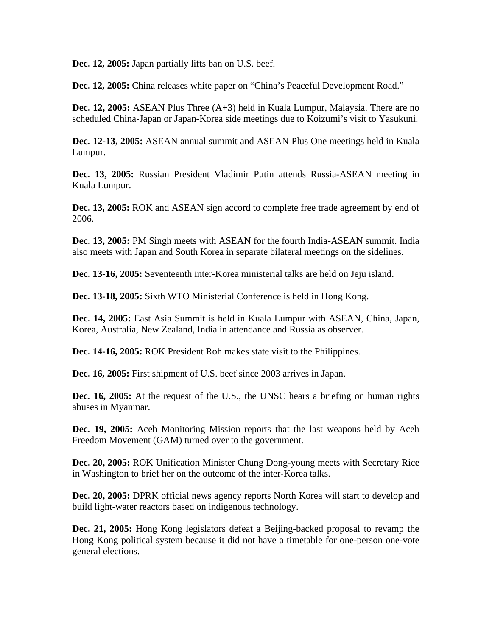**Dec. 12, 2005:** Japan partially lifts ban on U.S. beef.

**Dec. 12, 2005:** China releases white paper on "China's Peaceful Development Road."

**Dec. 12, 2005:** ASEAN Plus Three (A+3) held in Kuala Lumpur, Malaysia. There are no scheduled China-Japan or Japan-Korea side meetings due to Koizumi's visit to Yasukuni.

**Dec. 12-13, 2005:** ASEAN annual summit and ASEAN Plus One meetings held in Kuala Lumpur.

**Dec. 13, 2005:** Russian President Vladimir Putin attends Russia-ASEAN meeting in Kuala Lumpur.

**Dec. 13, 2005:** ROK and ASEAN sign accord to complete free trade agreement by end of 2006.

**Dec. 13, 2005:** PM Singh meets with ASEAN for the fourth India-ASEAN summit. India also meets with Japan and South Korea in separate bilateral meetings on the sidelines.

**Dec. 13-16, 2005:** Seventeenth inter-Korea ministerial talks are held on Jeju island.

**Dec. 13-18, 2005:** Sixth WTO Ministerial Conference is held in Hong Kong.

**Dec. 14, 2005:** East Asia Summit is held in Kuala Lumpur with ASEAN, China, Japan, Korea, Australia, New Zealand, India in attendance and Russia as observer.

**Dec. 14-16, 2005:** ROK President Roh makes state visit to the Philippines.

**Dec. 16, 2005:** First shipment of U.S. beef since 2003 arrives in Japan.

**Dec. 16, 2005:** At the request of the U.S., the UNSC hears a briefing on human rights abuses in Myanmar.

**Dec. 19, 2005:** Aceh Monitoring Mission reports that the last weapons held by Aceh Freedom Movement (GAM) turned over to the government.

**Dec. 20, 2005:** ROK Unification Minister Chung Dong-young meets with Secretary Rice in Washington to brief her on the outcome of the inter-Korea talks.

**Dec. 20, 2005:** DPRK official news agency reports North Korea will start to develop and build light-water reactors based on indigenous technology.

**Dec. 21, 2005:** Hong Kong legislators defeat a Beijing-backed proposal to revamp the Hong Kong political system because it did not have a timetable for one-person one-vote general elections.